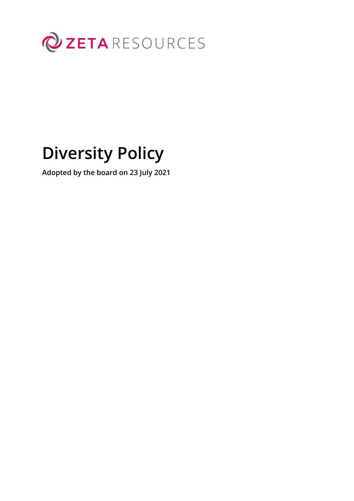

# **Diversity Policy**

**Adopted by the board on 23 July 2021**